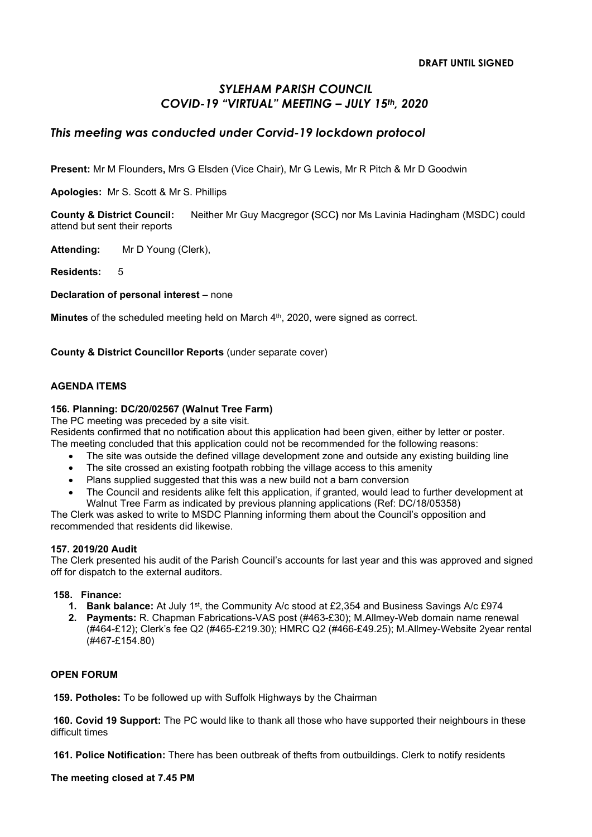# SYLEHAM PARISH COUNCIL COVID-19 "VIRTUAL" MEETING – JULY 15th, 2020

## This meeting was conducted under Corvid-19 lockdown protocol

Present: Mr M Flounders, Mrs G Elsden (Vice Chair), Mr G Lewis, Mr R Pitch & Mr D Goodwin

Apologies: Mr S. Scott & Mr S. Phillips

County & District Council: Neither Mr Guy Macgregor (SCC) nor Ms Lavinia Hadingham (MSDC) could attend but sent their reports

Attending: Mr D Young (Clerk),

Residents: 5

Declaration of personal interest – none

Minutes of the scheduled meeting held on March 4<sup>th</sup>, 2020, were signed as correct.

County & District Councillor Reports (under separate cover)

#### AGENDA ITEMS

### 156. Planning: DC/20/02567 (Walnut Tree Farm)

The PC meeting was preceded by a site visit.

Residents confirmed that no notification about this application had been given, either by letter or poster. The meeting concluded that this application could not be recommended for the following reasons:

- The site was outside the defined village development zone and outside any existing building line
- The site crossed an existing footpath robbing the village access to this amenity
- Plans supplied suggested that this was a new build not a barn conversion
- The Council and residents alike felt this application, if granted, would lead to further development at Walnut Tree Farm as indicated by previous planning applications (Ref: DC/18/05358)

The Clerk was asked to write to MSDC Planning informing them about the Council's opposition and recommended that residents did likewise.

#### 157. 2019/20 Audit

The Clerk presented his audit of the Parish Council's accounts for last year and this was approved and signed off for dispatch to the external auditors.

#### 158. Finance:

- 1. Bank balance: At July 1<sup>st</sup>, the Community A/c stood at £2,354 and Business Savings A/c £974
- 2. Payments: R. Chapman Fabrications-VAS post (#463-£30); M.Allmey-Web domain name renewal (#464-£12); Clerk's fee Q2 (#465-£219.30); HMRC Q2 (#466-£49.25); M.Allmey-Website 2year rental (#467-£154.80)

### OPEN FORUM

159. Potholes: To be followed up with Suffolk Highways by the Chairman

 160. Covid 19 Support: The PC would like to thank all those who have supported their neighbours in these difficult times

161. Police Notification: There has been outbreak of thefts from outbuildings. Clerk to notify residents

The meeting closed at 7.45 PM